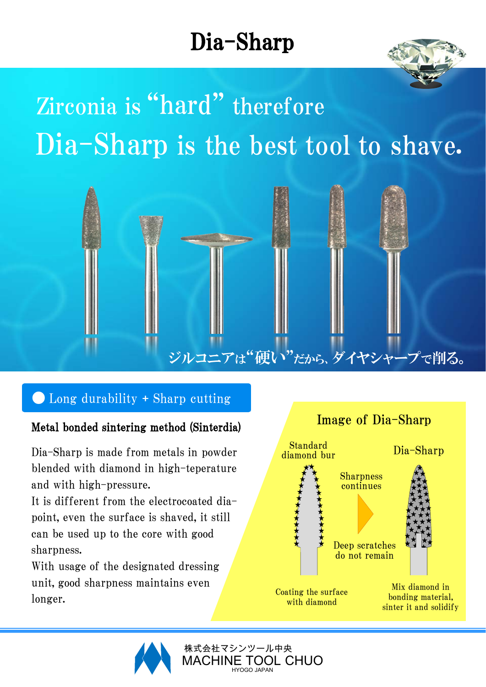### Dia-Sharp



### Zirconia is "hard" thereforeDia-Sharp is the best tool to shave.



#### $\bullet$  Long durability + Sharp cutting

#### Metal bonded sintering method (Sinterdia)

Dia-Sharp is made from metals in powder blended with diamond in high-teperature and with high-pressure.

It is different from the electrocoated diapoint, even the surface is shaved, it still can be used up to the core with good sharpness.

With usage of the designated dressing unit, good sharpness maintains even longer.





: TOOL CHUO HYOGO JAPAN 株式会社マシンツール中央